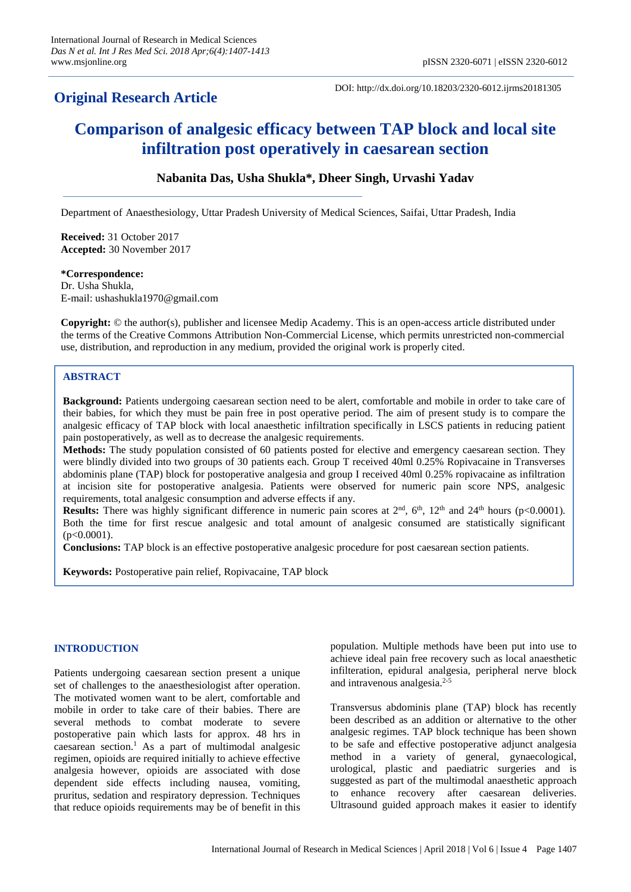## **Original Research Article**

DOI: http://dx.doi.org/10.18203/2320-6012.ijrms20181305

# **Comparison of analgesic efficacy between TAP block and local site infiltration post operatively in caesarean section**

## **Nabanita Das, Usha Shukla\*, Dheer Singh, Urvashi Yadav**

Department of Anaesthesiology, Uttar Pradesh University of Medical Sciences, Saifai, Uttar Pradesh, India

**Received:** 31 October 2017 **Accepted:** 30 November 2017

## **\*Correspondence:**

Dr. Usha Shukla, E-mail: ushashukla1970@gmail.com

**Copyright:** © the author(s), publisher and licensee Medip Academy. This is an open-access article distributed under the terms of the Creative Commons Attribution Non-Commercial License, which permits unrestricted non-commercial use, distribution, and reproduction in any medium, provided the original work is properly cited.

## **ABSTRACT**

**Background:** Patients undergoing caesarean section need to be alert, comfortable and mobile in order to take care of their babies, for which they must be pain free in post operative period. The aim of present study is to compare the analgesic efficacy of TAP block with local anaesthetic infiltration specifically in LSCS patients in reducing patient pain postoperatively, as well as to decrease the analgesic requirements.

**Methods:** The study population consisted of 60 patients posted for elective and emergency caesarean section. They were blindly divided into two groups of 30 patients each. Group T received 40ml 0.25% Ropivacaine in Transverses abdominis plane (TAP) block for postoperative analgesia and group I received 40ml 0.25% ropivacaine as infiltration at incision site for postoperative analgesia. Patients were observed for numeric pain score NPS, analgesic requirements, total analgesic consumption and adverse effects if any.

**Results:** There was highly significant difference in numeric pain scores at  $2<sup>nd</sup>$ ,  $6<sup>th</sup>$ ,  $12<sup>th</sup>$  and  $24<sup>th</sup>$  hours (p<0.0001). Both the time for first rescue analgesic and total amount of analgesic consumed are statistically significant  $(p<0.0001)$ .

**Conclusions:** TAP block is an effective postoperative analgesic procedure for post caesarean section patients.

**Keywords:** Postoperative pain relief, Ropivacaine, TAP block

#### **INTRODUCTION**

Patients undergoing caesarean section present a unique set of challenges to the anaesthesiologist after operation. The motivated women want to be alert, comfortable and mobile in order to take care of their babies. There are several methods to combat moderate to severe postoperative pain which lasts for approx. 48 hrs in caesarean section.<sup>1</sup> As a part of multimodal analgesic regimen, opioids are required initially to achieve effective analgesia however, opioids are associated with dose dependent side effects including nausea, vomiting, pruritus, sedation and respiratory depression. Techniques that reduce opioids requirements may be of benefit in this population. Multiple methods have been put into use to achieve ideal pain free recovery such as local anaesthetic infilteration, epidural analgesia, peripheral nerve block and intravenous analgesia.<sup>2-5</sup>

Transversus abdominis plane (TAP) block has recently been described as an addition or alternative to the other analgesic regimes. TAP block technique has been shown to be safe and effective postoperative adjunct analgesia method in a variety of general, gynaecological, urological, plastic and paediatric surgeries and is suggested as part of the multimodal anaesthetic approach to enhance recovery after caesarean deliveries. Ultrasound guided approach makes it easier to identify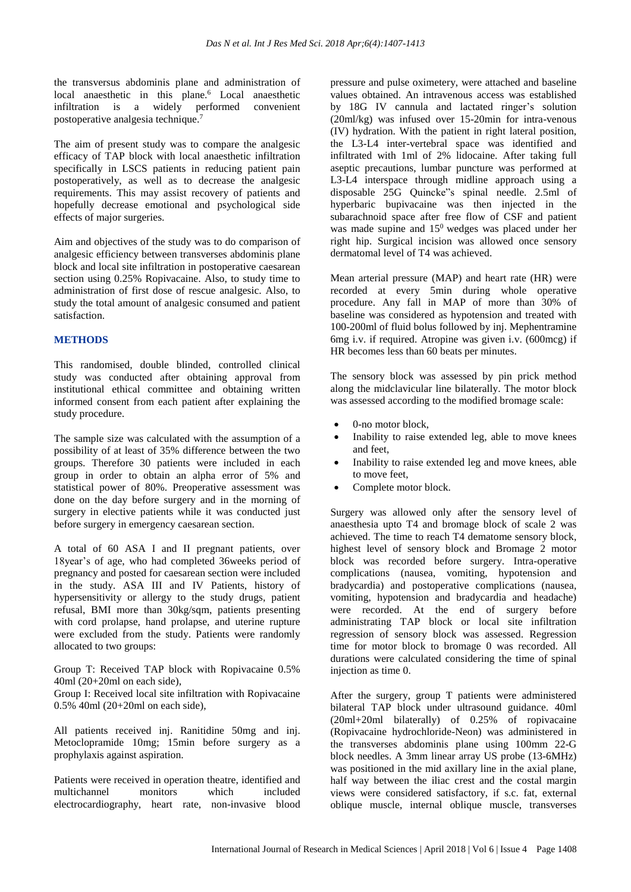the transversus abdominis plane and administration of local anaesthetic in this plane. <sup>6</sup> Local anaesthetic infiltration is a widely performed convenient postoperative analgesia technique.<sup>7</sup>

The aim of present study was to compare the analgesic efficacy of TAP block with local anaesthetic infiltration specifically in LSCS patients in reducing patient pain postoperatively, as well as to decrease the analgesic requirements. This may assist recovery of patients and hopefully decrease emotional and psychological side effects of major surgeries.

Aim and objectives of the study was to do comparison of analgesic efficiency between transverses abdominis plane block and local site infiltration in postoperative caesarean section using 0.25% Ropivacaine. Also, to study time to administration of first dose of rescue analgesic. Also, to study the total amount of analgesic consumed and patient satisfaction.

## **METHODS**

This randomised, double blinded, controlled clinical study was conducted after obtaining approval from institutional ethical committee and obtaining written informed consent from each patient after explaining the study procedure.

The sample size was calculated with the assumption of a possibility of at least of 35% difference between the two groups. Therefore 30 patients were included in each group in order to obtain an alpha error of 5% and statistical power of 80%. Preoperative assessment was done on the day before surgery and in the morning of surgery in elective patients while it was conducted just before surgery in emergency caesarean section.

A total of 60 ASA I and II pregnant patients, over 18year's of age, who had completed 36weeks period of pregnancy and posted for caesarean section were included in the study. ASA III and IV Patients, history of hypersensitivity or allergy to the study drugs, patient refusal, BMI more than 30kg/sqm, patients presenting with cord prolapse, hand prolapse, and uterine rupture were excluded from the study. Patients were randomly allocated to two groups:

Group T: Received TAP block with Ropivacaine 0.5% 40ml (20+20ml on each side),

Group I: Received local site infiltration with Ropivacaine 0.5% 40ml (20+20ml on each side),

All patients received inj. Ranitidine 50mg and inj. Metoclopramide 10mg; 15min before surgery as a prophylaxis against aspiration.

Patients were received in operation theatre, identified and multichannel monitors which included electrocardiography, heart rate, non-invasive blood pressure and pulse oximetery, were attached and baseline values obtained. An intravenous access was established by 18G IV cannula and lactated ringer's solution (20ml/kg) was infused over 15-20min for intra-venous (IV) hydration. With the patient in right lateral position, the L3-L4 inter-vertebral space was identified and infiltrated with 1ml of 2% lidocaine. After taking full aseptic precautions, lumbar puncture was performed at L3-L4 interspace through midline approach using a disposable 25G Quincke"s spinal needle. 2.5ml of hyperbaric bupivacaine was then injected in the subarachnoid space after free flow of CSF and patient was made supine and 15<sup>0</sup> wedges was placed under her right hip. Surgical incision was allowed once sensory dermatomal level of T4 was achieved.

Mean arterial pressure (MAP) and heart rate (HR) were recorded at every 5min during whole operative procedure. Any fall in MAP of more than 30% of baseline was considered as hypotension and treated with 100-200ml of fluid bolus followed by inj. Mephentramine 6mg i.v. if required. Atropine was given i.v. (600mcg) if HR becomes less than 60 beats per minutes.

The sensory block was assessed by pin prick method along the midclavicular line bilaterally. The motor block was assessed according to the modified bromage scale:

- 0-no motor block.
- Inability to raise extended leg, able to move knees and feet,
- Inability to raise extended leg and move knees, able to move feet,
- Complete motor block.

Surgery was allowed only after the sensory level of anaesthesia upto T4 and bromage block of scale 2 was achieved. The time to reach T4 dematome sensory block, highest level of sensory block and Bromage 2 motor block was recorded before surgery. Intra-operative complications (nausea, vomiting, hypotension and bradycardia) and postoperative complications (nausea, vomiting, hypotension and bradycardia and headache) were recorded. At the end of surgery before administrating TAP block or local site infiltration regression of sensory block was assessed. Regression time for motor block to bromage 0 was recorded. All durations were calculated considering the time of spinal injection as time 0.

After the surgery, group T patients were administered bilateral TAP block under ultrasound guidance. 40ml (20ml+20ml bilaterally) of 0.25% of ropivacaine (Ropivacaine hydrochloride-Neon) was administered in the transverses abdominis plane using 100mm 22-G block needles. A 3mm linear array US probe (13-6MHz) was positioned in the mid axillary line in the axial plane, half way between the iliac crest and the costal margin views were considered satisfactory, if s.c. fat, external oblique muscle, internal oblique muscle, transverses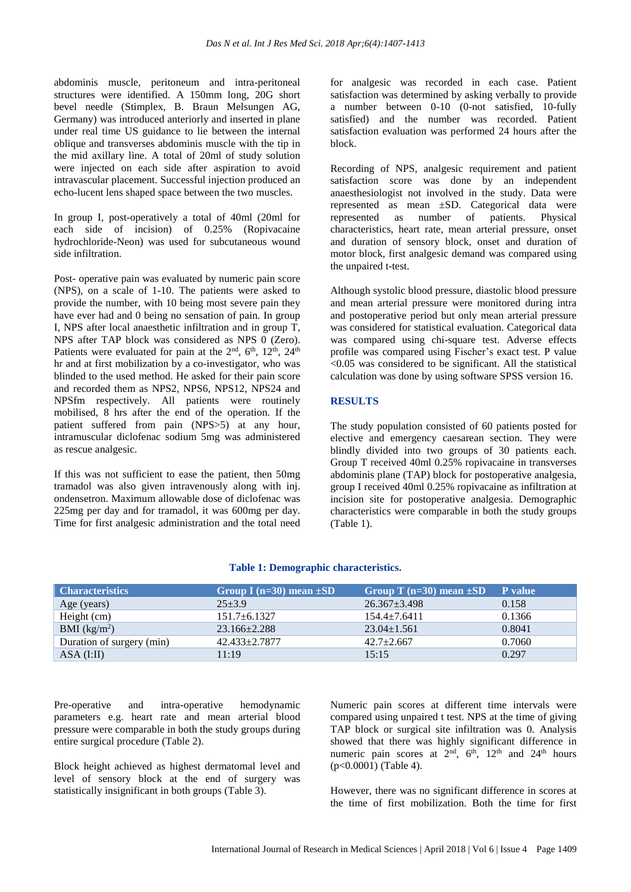abdominis muscle, peritoneum and intra-peritoneal structures were identified. A 150mm long, 20G short bevel needle (Stimplex, B. Braun Melsungen AG, Germany) was introduced anteriorly and inserted in plane under real time US guidance to lie between the internal oblique and transverses abdominis muscle with the tip in the mid axillary line. A total of 20ml of study solution were injected on each side after aspiration to avoid intravascular placement. Successful injection produced an echo-lucent lens shaped space between the two muscles.

In group I, post-operatively a total of 40ml (20ml for each side of incision) of 0.25% (Ropivacaine hydrochloride-Neon) was used for subcutaneous wound side infiltration.

Post- operative pain was evaluated by numeric pain score (NPS), on a scale of 1-10. The patients were asked to provide the number, with 10 being most severe pain they have ever had and 0 being no sensation of pain. In group I, NPS after local anaesthetic infiltration and in group T, NPS after TAP block was considered as NPS 0 (Zero). Patients were evaluated for pain at the  $2<sup>nd</sup>$ ,  $6<sup>th</sup>$ ,  $12<sup>th</sup>$ ,  $24<sup>th</sup>$ hr and at first mobilization by a co-investigator, who was blinded to the used method. He asked for their pain score and recorded them as NPS2, NPS6, NPS12, NPS24 and NPSfm respectively. All patients were routinely mobilised, 8 hrs after the end of the operation. If the patient suffered from pain (NPS>5) at any hour, intramuscular diclofenac sodium 5mg was administered as rescue analgesic.

If this was not sufficient to ease the patient, then 50mg tramadol was also given intravenously along with inj. ondensetron. Maximum allowable dose of diclofenac was 225mg per day and for tramadol, it was 600mg per day. Time for first analgesic administration and the total need for analgesic was recorded in each case. Patient satisfaction was determined by asking verbally to provide a number between 0-10 (0-not satisfied, 10-fully satisfied) and the number was recorded. Patient satisfaction evaluation was performed 24 hours after the block.

Recording of NPS, analgesic requirement and patient satisfaction score was done by an independent anaesthesiologist not involved in the study. Data were represented as mean ±SD. Categorical data were represented as number of patients. Physical characteristics, heart rate, mean arterial pressure, onset and duration of sensory block, onset and duration of motor block, first analgesic demand was compared using the unpaired t-test.

Although systolic blood pressure, diastolic blood pressure and mean arterial pressure were monitored during intra and postoperative period but only mean arterial pressure was considered for statistical evaluation. Categorical data was compared using chi-square test. Adverse effects profile was compared using Fischer's exact test. P value <0.05 was considered to be significant. All the statistical calculation was done by using software SPSS version 16.

#### **RESULTS**

The study population consisted of 60 patients posted for elective and emergency caesarean section. They were blindly divided into two groups of 30 patients each. Group T received 40ml 0.25% ropivacaine in transverses abdominis plane (TAP) block for postoperative analgesia, group I received 40ml 0.25% ropivacaine as infiltration at incision site for postoperative analgesia. Demographic characteristics were comparable in both the study groups (Table 1).

| <b>Characteristics</b>    | Group I (n=30) mean $\pm SD$ | Group T $(n=30)$ mean $\pm SD$ | P value |
|---------------------------|------------------------------|--------------------------------|---------|
| Age (years)               | $25 + 3.9$                   | $26.367 \pm 3.498$             | 0.158   |
| Height (cm)               | $151.7 + 6.1327$             | $154.4 + 7.6411$               | 0.1366  |
| BMI (kg/m <sup>2</sup> )  | $23.166 \pm 2.288$           | $23.04 \pm 1.561$              | 0.8041  |
| Duration of surgery (min) | $42.433 + 2.7877$            | $42.7+2.667$                   | 0.7060  |
| $ASA$ (I:II)              | 11:19                        | 15:15                          | 0.297   |

#### **Table 1: Demographic characteristics.**

Pre-operative and intra-operative hemodynamic parameters e.g. heart rate and mean arterial blood pressure were comparable in both the study groups during entire surgical procedure (Table 2).

Block height achieved as highest dermatomal level and level of sensory block at the end of surgery was statistically insignificant in both groups (Table 3).

Numeric pain scores at different time intervals were compared using unpaired t test. NPS at the time of giving TAP block or surgical site infiltration was 0. Analysis showed that there was highly significant difference in numeric pain scores at  $2<sup>nd</sup>$ ,  $6<sup>th</sup>$ ,  $12<sup>th</sup>$  and  $24<sup>th</sup>$  hours (p<0.0001) (Table 4).

However, there was no significant difference in scores at the time of first mobilization. Both the time for first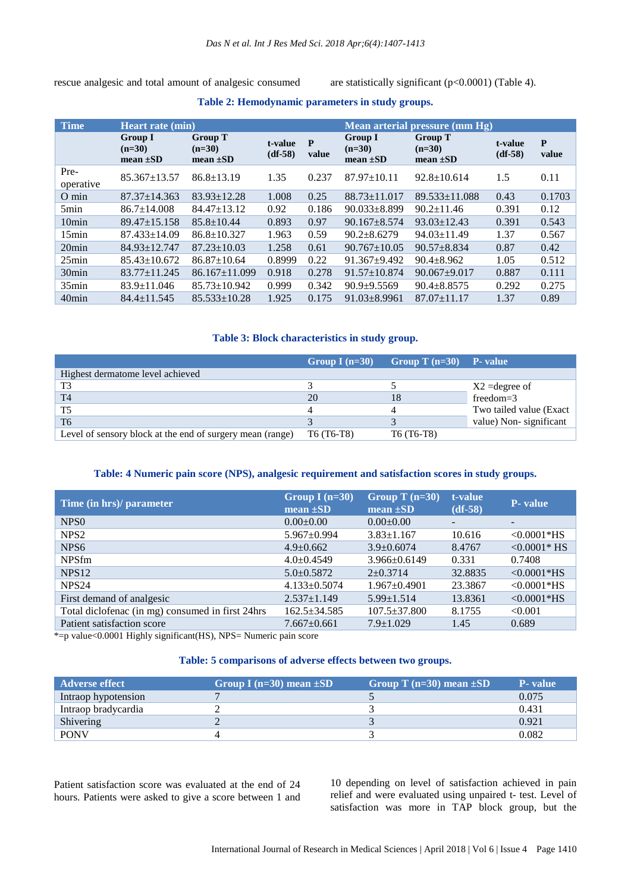rescue analgesic and total amount of analgesic consumed are statistically significant (p<0.0001) (Table 4).

| <b>Time</b>       | <b>Heart rate (min)</b>                     |                                             |                      |            | Mean arterial pressure (mm Hg)              |                                             |                      |            |
|-------------------|---------------------------------------------|---------------------------------------------|----------------------|------------|---------------------------------------------|---------------------------------------------|----------------------|------------|
|                   | <b>Group I</b><br>$(n=30)$<br>mean $\pm SD$ | <b>Group T</b><br>$(n=30)$<br>mean $\pm SD$ | t-value<br>$(df-58)$ | P<br>value | <b>Group I</b><br>$(n=30)$<br>mean $\pm SD$ | <b>Group T</b><br>$(n=30)$<br>mean $\pm SD$ | t-value<br>$(df-58)$ | P<br>value |
| Pre-<br>operative | $85.367 \pm 13.57$                          | $86.8 \pm 13.19$                            | 1.35                 | 0.237      | $87.97 \pm 10.11$                           | $92.8 \pm 10.614$                           | 1.5                  | 0.11       |
| $O \text{ min}$   | $87.37 \pm 14.363$                          | $83.93 \pm 12.28$                           | 1.008                | 0.25       | $88.73 \pm 11.017$                          | $89.533 \pm 11.088$                         | 0.43                 | 0.1703     |
| 5 <sub>min</sub>  | $86.7 \pm 14.008$                           | $84.47 \pm 13.12$                           | 0.92                 | 0.186      | $90.033 \pm 8.899$                          | $90.2 \pm 11.46$                            | 0.391                | 0.12       |
| 10 <sub>min</sub> | $89.47 \pm 15.158$                          | $85.8 \pm 10.44$                            | 0.893                | 0.97       | $90.167 \pm 8.574$                          | $93.03 \pm 12.43$                           | 0.391                | 0.543      |
| 15min             | $87.433 \pm 14.09$                          | $86.8 \pm 10.327$                           | 1.963                | 0.59       | $90.2 \pm 8.6279$                           | $94.03 \pm 11.49$                           | 1.37                 | 0.567      |
| $20$ min          | $84.93 \pm 12.747$                          | $87.23 \pm 10.03$                           | 1.258                | 0.61       | $90.767 \pm 10.05$                          | $90.57 + 8.834$                             | 0.87                 | 0.42       |
| 25min             | $85.43 \pm 10.672$                          | $86.87 \pm 10.64$                           | 0.8999               | 0.22       | $91.367 + 9.492$                            | $90.4 + 8.962$                              | 1.05                 | 0.512      |
| 30 <sub>min</sub> | $83.77 \pm 11.245$                          | $86.167 \pm 11.099$                         | 0.918                | 0.278      | $91.57 \pm 10.874$                          | $90.067 \pm 9.017$                          | 0.887                | 0.111      |
| $35$ min          | $83.9 \pm 11.046$                           | $85.73 \pm 10.942$                          | 0.999                | 0.342      | $90.9 + 9.5569$                             | $90.4 \pm 8.8575$                           | 0.292                | 0.275      |
| $40$ min          | $84.4 \pm 11.545$                           | $85.533 \pm 10.28$                          | 1.925                | 0.175      | $91.03 \pm 8.9961$                          | $87.07 \pm 11.17$                           | 1.37                 | 0.89       |

## **Table 2: Hemodynamic parameters in study groups.**

## **Table 3: Block characteristics in study group.**

|                                                           | Group I $(n=30)$ | Group T $(n=30)$ P- value |                          |
|-----------------------------------------------------------|------------------|---------------------------|--------------------------|
| Highest dermatome level achieved                          |                  |                           |                          |
| T3                                                        |                  |                           | $X2$ =degree of          |
| T <sub>4</sub>                                            | 20               |                           | $freedom = 3$            |
| T <sub>5</sub>                                            |                  |                           | Two tailed value (Exact) |
| T <sub>6</sub>                                            |                  |                           | value) Non-significant   |
| Level of sensory block at the end of surgery mean (range) | T6 (T6-T8)       | T6 (T6-T8)                |                          |

### **Table: 4 Numeric pain score (NPS), analgesic requirement and satisfaction scores in study groups.**

| Group I $(n=30)$<br>mean $\pm SD$ | Group T $(n=30)$<br>mean $\pm SD$ | t-value<br>$(df-58)$ | <b>P</b> -value |
|-----------------------------------|-----------------------------------|----------------------|-----------------|
| $0.00 \pm 0.00$                   | $0.00 \pm 0.00$                   | -                    |                 |
| $5.967 \pm 0.994$                 | $3.83 \pm 1.167$                  | 10.616               | $< 0.0001*$ HS  |
| $4.9 \pm 0.662$                   | $3.9 \pm 0.6074$                  | 8.4767               | $< 0.0001*$ HS  |
| $4.0+0.4549$                      | $3.966 \pm 0.6149$                | 0.331                | 0.7408          |
| $5.0+0.5872$                      | $2 \pm 0.3714$                    | 32.8835              | $< 0.0001*$ HS  |
| $4.133 \pm 0.5074$                | $1.967 \pm 0.4901$                | 23.3867              | $<0.0001*$ HS   |
| $2.537 \pm 1.149$                 | $5.99 \pm 1.514$                  | 13.8361              | $<0.0001*$ HS   |
| $162.5 \pm 34.585$                | $107.5 \pm 37.800$                | 8.1755               | < 0.001         |
| $7.667 \pm 0.661$                 | $7.9 \pm 1.029$                   | 1.45                 | 0.689           |
|                                   |                                   |                      |                 |

 $* = p$  value<0.0001 Highly significant (HS), NPS= Numeric pain score

## **Table: 5 comparisons of adverse effects between two groups.**

| Adverse effect      | Group I (n=30) mean $\pm SD$ | Group T ( $n=30$ ) mean $\pm SD$ | <b>P</b> -value |
|---------------------|------------------------------|----------------------------------|-----------------|
| Intraop hypotension |                              |                                  | 0.075           |
| Intraop bradycardia |                              |                                  | 0.431           |
| Shivering           |                              |                                  | 0.921           |
| <b>PONV</b>         |                              |                                  | 0.082           |

Patient satisfaction score was evaluated at the end of 24 hours. Patients were asked to give a score between 1 and 10 depending on level of satisfaction achieved in pain relief and were evaluated using unpaired t- test. Level of satisfaction was more in TAP block group, but the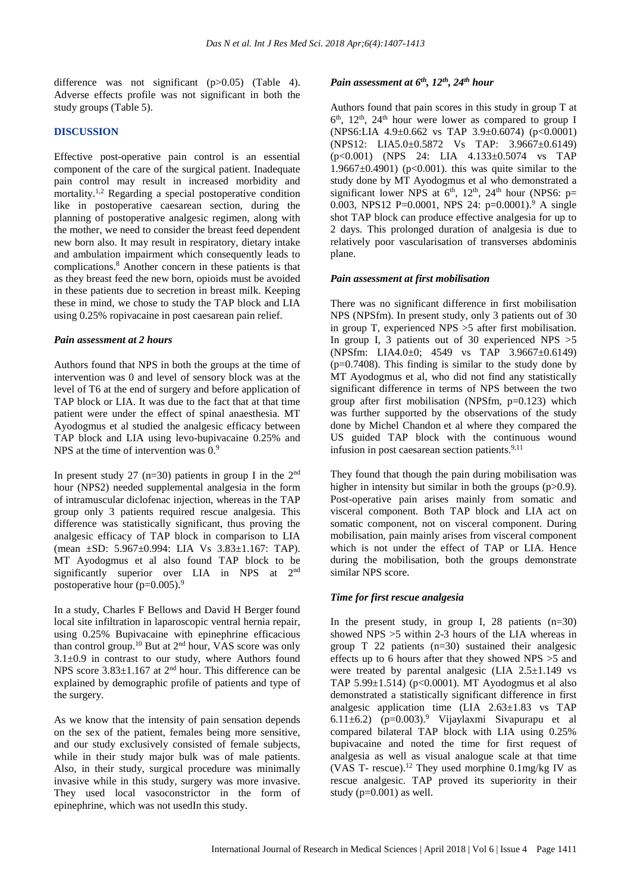difference was not significant (p>0.05) (Table 4). Adverse effects profile was not significant in both the study groups (Table 5).

## **DISCUSSION**

Effective post-operative pain control is an essential component of the care of the surgical patient. Inadequate pain control may result in increased morbidity and mortality. 1,2 Regarding a special postoperative condition like in postoperative caesarean section, during the planning of postoperative analgesic regimen, along with the mother, we need to consider the breast feed dependent new born also. It may result in respiratory, dietary intake and ambulation impairment which consequently leads to complications. <sup>8</sup> Another concern in these patients is that as they breast feed the new born, opioids must be avoided in these patients due to secretion in breast milk. Keeping these in mind, we chose to study the TAP block and LIA using 0.25% ropivacaine in post caesarean pain relief.

#### *Pain assessment at 2 hours*

Authors found that NPS in both the groups at the time of intervention was 0 and level of sensory block was at the level of T6 at the end of surgery and before application of TAP block or LIA. It was due to the fact that at that time patient were under the effect of spinal anaesthesia. MT Ayodogmus et al studied the analgesic efficacy between TAP block and LIA using levo-bupivacaine 0.25% and NPS at the time of intervention was  $0<sup>9</sup>$ 

In present study 27 ( $n=30$ ) patients in group I in the 2<sup>nd</sup> hour (NPS2) needed supplemental analgesia in the form of intramuscular diclofenac injection, whereas in the TAP group only 3 patients required rescue analgesia. This difference was statistically significant, thus proving the analgesic efficacy of TAP block in comparison to LIA (mean ±SD: 5.967±0.994: LIA Vs 3.83±1.167: TAP). MT Ayodogmus et al also found TAP block to be significantly superior over LIA in NPS at 2<sup>nd</sup> postoperative hour ( $p=0.005$ ).<sup>9</sup>

In a study, Charles F Bellows and David H Berger found local site infiltration in laparoscopic ventral hernia repair, using 0.25% Bupivacaine with epinephrine efficacious than control group.<sup>10</sup> But at  $2<sup>nd</sup>$  hour, VAS score was only  $3.1\pm0.9$  in contrast to our study, where Authors found NPS score  $3.83 \pm 1.167$  at  $2<sup>nd</sup>$  hour. This difference can be explained by demographic profile of patients and type of the surgery.

As we know that the intensity of pain sensation depends on the sex of the patient, females being more sensitive, and our study exclusively consisted of female subjects, while in their study major bulk was of male patients. Also, in their study, surgical procedure was minimally invasive while in this study, surgery was more invasive. They used local vasoconstrictor in the form of epinephrine, which was not usedIn this study.

## *Pain assessment at 6 th , 12th , 24th hour*

Authors found that pain scores in this study in group T at 6<sup>th</sup>, 12<sup>th</sup>, 24<sup>th</sup> hour were lower as compared to group I (NPS6:LIA 4.9±0.662 vs TAP 3.9±0.6074) (p<0.0001) (NPS12: LIA5.0±0.5872 Vs TAP: 3.9667±0.6149) (p<0.001) (NPS 24: LIA 4.133±0.5074 vs TAP 1.9667 $\pm$ 0.4901) (p<0.001). this was quite similar to the study done by MT Ayodogmus et al who demonstrated a significant lower NPS at  $6<sup>th</sup>$ ,  $12<sup>th</sup>$ ,  $24<sup>th</sup>$  hour (NPS6: p= 0.003, NPS12 P=0.0001, NPS 24: p=0.0001).<sup>9</sup> A single shot TAP block can produce effective analgesia for up to 2 days. This prolonged duration of analgesia is due to relatively poor vascularisation of transverses abdominis plane.

#### *Pain assessment at first mobilisation*

There was no significant difference in first mobilisation NPS (NPSfm). In present study, only 3 patients out of 30 in group T, experienced NPS >5 after first mobilisation. In group I, 3 patients out of 30 experienced NPS  $>5$ (NPSfm: LIA4.0±0; 4549 vs TAP 3.9667±0.6149)  $(p=0.7408)$ . This finding is similar to the study done by MT Ayodogmus et al, who did not find any statistically significant difference in terms of NPS between the two group after first mobilisation (NPSfm,  $p=0.123$ ) which was further supported by the observations of the study done by Michel Chandon et al where they compared the US guided TAP block with the continuous wound infusion in post caesarean section patients.<sup>9,11</sup>

They found that though the pain during mobilisation was higher in intensity but similar in both the groups (p>0.9). Post-operative pain arises mainly from somatic and visceral component. Both TAP block and LIA act on somatic component, not on visceral component. During mobilisation, pain mainly arises from visceral component which is not under the effect of TAP or LIA. Hence during the mobilisation, both the groups demonstrate similar NPS score.

#### *Time for first rescue analgesia*

In the present study, in group I, 28 patients  $(n=30)$ showed NPS >5 within 2-3 hours of the LIA whereas in group T 22 patients (n=30) sustained their analgesic effects up to 6 hours after that they showed NPS >5 and were treated by parental analgesic (LIA  $2.5\pm1.149$  vs TAP  $5.99 \pm 1.514$ ) (p<0.0001). MT Ayodogmus et al also demonstrated a statistically significant difference in first analgesic application time (LIA 2.63±1.83 vs TAP 6.11 $\pm$ 6.2) (p=0.003).<sup>9</sup> Vijaylaxmi Sivapurapu et al compared bilateral TAP block with LIA using 0.25% bupivacaine and noted the time for first request of analgesia as well as visual analogue scale at that time (VAS T- rescue).<sup>12</sup> They used morphine 0.1mg/kg IV as rescue analgesic. TAP proved its superiority in their study  $(p=0.001)$  as well.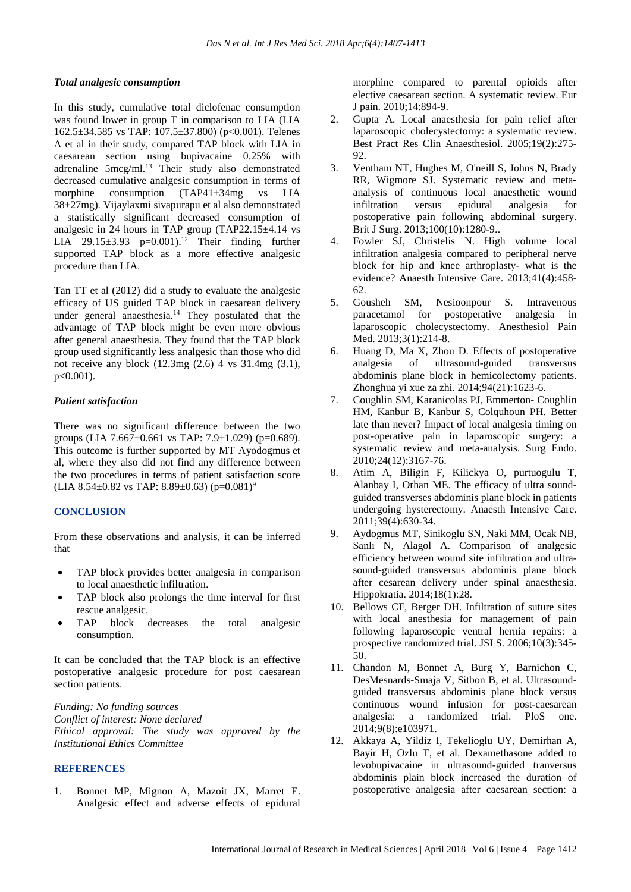#### *Total analgesic consumption*

In this study, cumulative total diclofenac consumption was found lower in group T in comparison to LIA (LIA 162.5±34.585 vs TAP: 107.5±37.800) (p<0.001). Telenes A et al in their study, compared TAP block with LIA in caesarean section using bupivacaine 0.25% with adrenaline 5mcg/ml.<sup>13</sup> Their study also demonstrated decreased cumulative analgesic consumption in terms of morphine consumption (TAP41±34mg vs LIA 38±27mg). Vijaylaxmi sivapurapu et al also demonstrated a statistically significant decreased consumption of analgesic in  $24$  hours in TAP group (TAP22.15 $\pm$ 4.14 vs LIA  $29.15\pm3.93$  p=0.001).<sup>12</sup> Their finding further supported TAP block as a more effective analgesic procedure than LIA.

Tan TT et al (2012) did a study to evaluate the analgesic efficacy of US guided TAP block in caesarean delivery under general anaesthesia.<sup>14</sup> They postulated that the advantage of TAP block might be even more obvious after general anaesthesia. They found that the TAP block group used significantly less analgesic than those who did not receive any block (12.3mg (2.6) 4 vs 31.4mg (3.1), p<0.001).

## *Patient satisfaction*

There was no significant difference between the two groups (LIA 7.667 $\pm$ 0.661 vs TAP: 7.9 $\pm$ 1.029) (p=0.689). This outcome is further supported by MT Ayodogmus et al, where they also did not find any difference between the two procedures in terms of patient satisfaction score  $(LIA 8.54 \pm 0.82 \text{ vs } TAP: 8.89 \pm 0.63) (p=0.081)^9$ 

## **CONCLUSION**

From these observations and analysis, it can be inferred that

- TAP block provides better analgesia in comparison to local anaesthetic infiltration.
- TAP block also prolongs the time interval for first rescue analgesic.
- TAP block decreases the total analgesic consumption.

It can be concluded that the TAP block is an effective postoperative analgesic procedure for post caesarean section patients.

*Funding: No funding sources Conflict of interest: None declared Ethical approval: The study was approved by the Institutional Ethics Committee*

## **REFERENCES**

1. Bonnet MP, Mignon A, Mazoit JX, Marret E. Analgesic effect and adverse effects of epidural morphine compared to parental opioids after elective caesarean section. A systematic review. Eur J pain. 2010;14:894-9.

- 2. Gupta A. Local anaesthesia for pain relief after laparoscopic cholecystectomy: a systematic review. Best Pract Res Clin Anaesthesiol. 2005;19(2):275-  $92.$
- 3. Ventham NT, Hughes M, O'neill S, Johns N, Brady RR, Wigmore SJ. Systematic review and meta‐ analysis of continuous local anaesthetic wound infiltration versus epidural analgesia for postoperative pain following abdominal surgery. Brit J Surg. 2013;100(10):1280-9..
- 4. Fowler SJ, Christelis N. High volume local infiltration analgesia compared to peripheral nerve block for hip and knee arthroplasty- what is the evidence? Anaesth Intensive Care. 2013;41(4):458- 62.
- 5. Gousheh SM, Nesioonpour S. Intravenous paracetamol for postoperative analgesia in laparoscopic cholecystectomy. Anesthesiol Pain Med. 2013;3(1):214-8.
- 6. Huang D, Ma X, Zhou D. Effects of postoperative analgesia of ultrasound-guided transversus abdominis plane block in hemicolectomy patients. Zhonghua yi xue za zhi. 2014;94(21):1623-6.
- 7. Coughlin SM, Karanicolas PJ, Emmerton- Coughlin HM, Kanbur B, Kanbur S, Colquhoun PH. Better late than never? Impact of local analgesia timing on post-operative pain in laparoscopic surgery: a systematic review and meta-analysis. Surg Endo. 2010;24(12):3167-76.
- 8. Atim A, Biligin F, Kilickya O, purtuogulu T, Alanbay I, Orhan ME. The efficacy of ultra soundguided transverses abdominis plane block in patients undergoing hysterectomy. Anaesth Intensive Care. 2011;39(4):630-34.
- 9. Aydogmus MT, Sinikoglu SN, Naki MM, Ocak NB, Sanlı N, Alagol A. Comparison of analgesic efficiency between wound site infiltration and ultrasound-guided transversus abdominis plane block after cesarean delivery under spinal anaesthesia. Hippokratia. 2014;18(1):28.
- 10. Bellows CF, Berger DH. Infiltration of suture sites with local anesthesia for management of pain following laparoscopic ventral hernia repairs: a prospective randomized trial. JSLS. 2006;10(3):345- 50.
- 11. Chandon M, Bonnet A, Burg Y, Barnichon C, DesMesnards-Smaja V, Sitbon B, et al. Ultrasoundguided transversus abdominis plane block versus continuous wound infusion for post-caesarean analgesia: a randomized trial. PloS one. 2014;9(8):e103971.
- 12. Akkaya A, Yildiz I, Tekelioglu UY, Demirhan A, Bayir H, Ozlu T, et al. Dexamethasone added to levobupivacaine in ultrasound-guided tranversus abdominis plain block increased the duration of postoperative analgesia after caesarean section: a